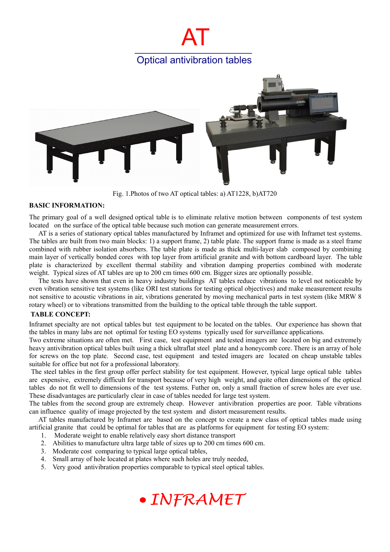# AT Optical antivibration tables



Fig. 1.Photos of two AT optical tables: a) AT1228, b)AT720

### **BASIC INFORMATION:**

The primary goal of a well designed optical table is to eliminate relative motion between components of test system located on the surface of the optical table because such motion can generate measurement errors.

AT is a series of stationary optical tables manufactured by Inframet and optimized for use with Inframet test systems. The tables are built from two main blocks: 1) a support frame, 2) table plate. The support frame is made as a steel frame combined with rubber isolation absorbers. The table plate is made as thick multi-layer slab composed by combining main layer of vertically bonded cores with top layer from artificial granite and with bottom cardboard layer. The table plate is characterized by excellent thermal stability and vibration damping properties combined with moderate weight. Typical sizes of AT tables are up to 200 cm times 600 cm. Bigger sizes are optionally possible.

The tests have shown that even in heavy industry buildings AT tables reduce vibrations to level not noticeable by even vibration sensitive test systems (like ORI test stations for testing optical objectives) and make measurement results not sensitive to acoustic vibrations in air, vibrations generated by moving mechanical parts in test system (like MRW 8 rotary wheel) or to vibrations transmitted from the building to the optical table through the table support.

## **TABLE CONCEPT:**

Inframet specialty are not optical tables but test equipment to be located on the tables. Our experience has shown that the tables in many labs are not optimal for testing EO systems typically used for surveillance applications.

Two extreme situations are often met. First case, test equipment and tested imagers are located on big and extremely heavy antivibration optical tables built using a thick ultraflat steel plate and a honeycomb core. There is an array of hole for screws on the top plate. Second case, test equipment and tested imagers are located on cheap unstable tables suitable for office but not for a professional laboratory.

 The steel tables in the first group offer perfect stability for test equipment. However, typical large optical table tables are expensive, extremely difficult for transport because of very high weight, and quite often dimensions of the optical tables do not fit well to dimensions of the test systems. Futher on, only a small fraction of screw holes are ever use. These disadvantages are particularly clear in case of tables needed for large test system.

The tables from the second group are extremely cheap. However antivibration properties are poor. Table vibrations can influence quality of image projected by the test system and distort measurement results.

AT tables manufactured by Inframet are based on the concept to create a new class of optical tables made using artificial granite that could be optimal for tables that are as platforms for equipment for testing EO system:

- 1. Moderate weight to enable relatively easy short distance transport
- 2. Abilities to manufacture ultra large table of sizes up to 200 cm times 600 cm.
- 3. Moderate cost comparing to typical large optical tables,
- 4. Small array of hole located at plates where such holes are truly needed,
- 5. Very good antivibration properties comparable to typical steel optical tables.